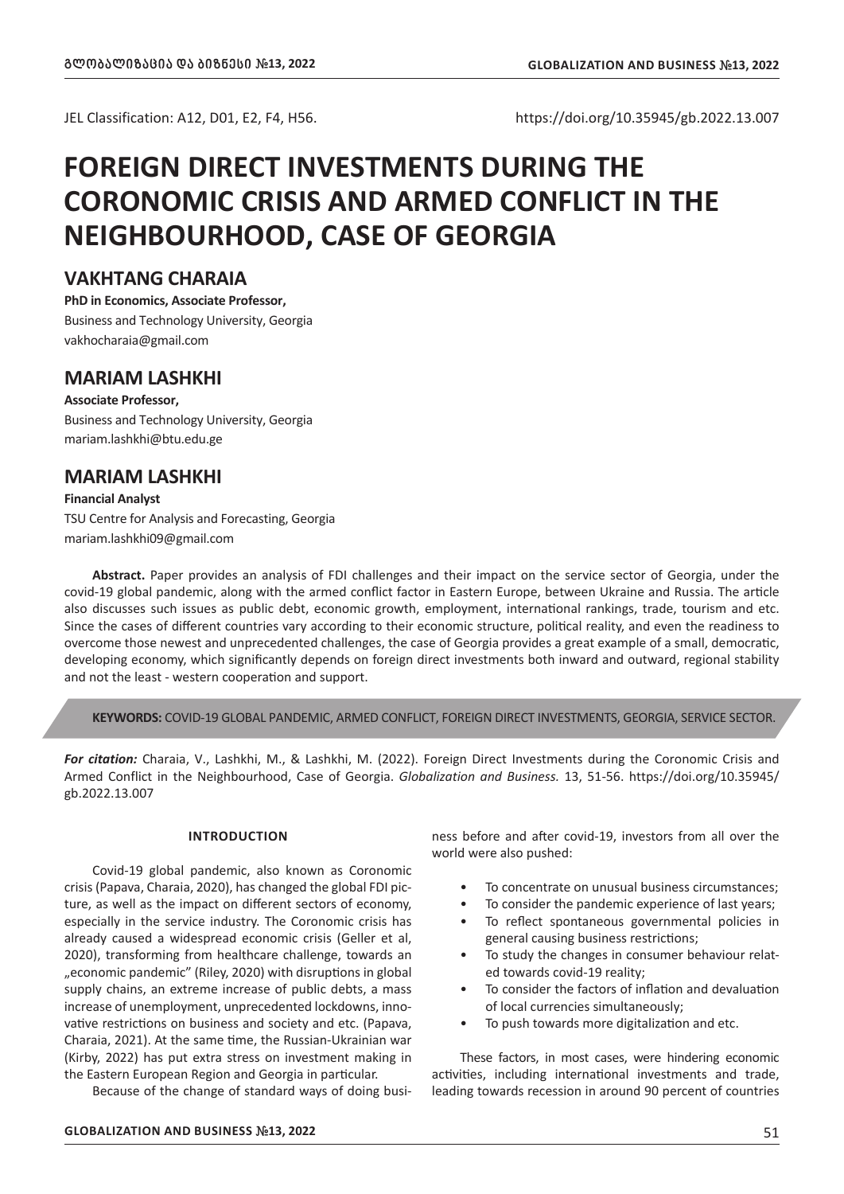JEL Classification: A12, D01, E2, F4, H56. https://doi.org/10.35945/gb.2022.13.007

# **FOREIGN DIRECT INVESTMENTS DURING THE CORONOMIC CRISIS AND ARMED CONFLICT IN THE NEIGHBOURHOOD, CASE OF GEORGIA**

# **VAKHTANG CHARAIA**

**PhD in Economics, Associate Professor,** 

Business and Technology University, Georgia vakhocharaia@gmail.com

# **MARIAM LASHKHI**

# **Associate Professor,**

Business and Technology University, Georgia mariam.lashkhi@btu.edu.ge

# **MARIAM LASHKHI**

## **Financial Analyst**

TSU Centre for Analysis and Forecasting, Georgia mariam.lashkhi09@gmail.com

**Abstract.** Paper provides an analysis of FDI challenges and their impact on the service sector of Georgia, under the covid-19 global pandemic, along with the armed conflict factor in Eastern Europe, between Ukraine and Russia. The article also discusses such issues as public debt, economic growth, employment, international rankings, trade, tourism and etc. Since the cases of different countries vary according to their economic structure, political reality, and even the readiness to overcome those newest and unprecedented challenges, the case of Georgia provides a great example of a small, democratic, developing economy, which significantly depends on foreign direct investments both inward and outward, regional stability and not the least - western cooperation and support.

**KEYWORDS:** COVID-19 GLOBAL PANDEMIC, ARMED CONFLICT, FOREIGN DIRECT INVESTMENTS, GEORGIA, SERVICE SECTOR.

*For citation:* Charaia, V., Lashkhi, M., & Lashkhi, M. (2022). Foreign Direct Investments during the Coronomic Crisis and Armed Conflict in the Neighbourhood, Case of Georgia. *Globalization and Business.* 13, 51-56. https://doi.org/10.35945/ gb.2022.13.007

## **INTRODUCTION**

Covid-19 global pandemic, also known as Coronomic crisis (Papava, Charaia, 2020), has changed the global FDI picture, as well as the impact on different sectors of economy, especially in the service industry. The Coronomic crisis has already caused a widespread economic crisis (Geller et al, 2020), transforming from healthcare challenge, towards an "economic pandemic" (Riley, 2020) with disruptions in global supply chains, an extreme increase of public debts, a mass increase of unemployment, unprecedented lockdowns, innovative restrictions on business and society and etc. (Papava, Charaia, 2021). At the same time, the Russian-Ukrainian war (Kirby, 2022) has put extra stress on investment making in the Eastern European Region and Georgia in particular.

Because of the change of standard ways of doing busi-

ness before and after covid-19, investors from all over the world were also pushed:

- To concentrate on unusual business circumstances;
- To consider the pandemic experience of last years;
- To reflect spontaneous governmental policies in general causing business restrictions;
- To study the changes in consumer behaviour related towards covid-19 reality;
- To consider the factors of inflation and devaluation of local currencies simultaneously;
- To push towards more digitalization and etc.

These factors, in most cases, were hindering economic activities, including international investments and trade, leading towards recession in around 90 percent of countries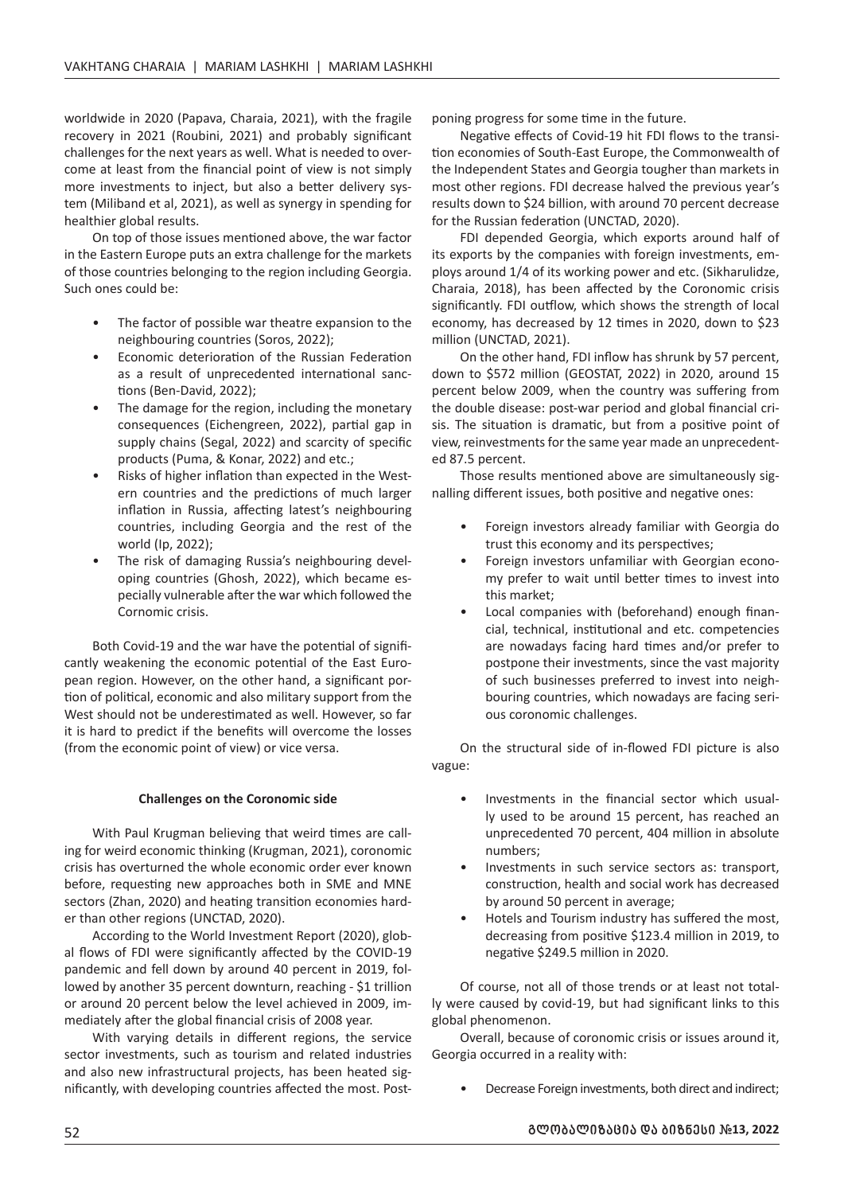worldwide in 2020 (Papava, Charaia, 2021), with the fragile recovery in 2021 (Roubini, 2021) and probably significant challenges for the next years as well. What is needed to overcome at least from the financial point of view is not simply more investments to inject, but also a better delivery system (Miliband et al, 2021), as well as synergy in spending for healthier global results.

On top of those issues mentioned above, the war factor in the Eastern Europe puts an extra challenge for the markets of those countries belonging to the region including Georgia. Such ones could be:

- The factor of possible war theatre expansion to the neighbouring countries (Soros, 2022);
- Economic deterioration of the Russian Federation as a result of unprecedented international sanctions (Ben-David, 2022);
- The damage for the region, including the monetary consequences (Eichengreen, 2022), partial gap in supply chains (Segal, 2022) and scarcity of specific products (Puma, & Konar, 2022) and etc.;
- Risks of higher inflation than expected in the Western countries and the predictions of much larger inflation in Russia, affecting latest's neighbouring countries, including Georgia and the rest of the world (Ip, 2022);
- The risk of damaging Russia's neighbouring developing countries (Ghosh, 2022), which became especially vulnerable after the war which followed the Cornomic crisis.

Both Covid-19 and the war have the potential of significantly weakening the economic potential of the East European region. However, on the other hand, a significant portion of political, economic and also military support from the West should not be underestimated as well. However, so far it is hard to predict if the benefits will overcome the losses (from the economic point of view) or vice versa.

## **Challenges on the Coronomic side**

With Paul Krugman believing that weird times are calling for weird economic thinking (Krugman, 2021), coronomic crisis has overturned the whole economic order ever known before, requesting new approaches both in SME and MNE sectors (Zhan, 2020) and heating transition economies harder than other regions (UNCTAD, 2020).

According to the World Investment Report (2020), global flows of FDI were significantly affected by the COVID-19 pandemic and fell down by around 40 percent in 2019, followed by another 35 percent downturn, reaching - \$1 trillion or around 20 percent below the level achieved in 2009, immediately after the global financial crisis of 2008 year.

With varying details in different regions, the service sector investments, such as tourism and related industries and also new infrastructural projects, has been heated significantly, with developing countries affected the most. Postponing progress for some time in the future.

Negative effects of Covid-19 hit FDI flows to the transition economies of South-East Europe, the Commonwealth of the Independent States and Georgia tougher than markets in most other regions. FDI decrease halved the previous year's results down to \$24 billion, with around 70 percent decrease for the Russian federation (UNCTAD, 2020).

FDI depended Georgia, which exports around half of its exports by the companies with foreign investments, employs around 1/4 of its working power and etc. (Sikharulidze, Charaia, 2018), has been affected by the Coronomic crisis significantly. FDI outflow, which shows the strength of local economy, has decreased by 12 times in 2020, down to \$23 million (UNCTAD, 2021).

On the other hand, FDI inflow has shrunk by 57 percent, down to \$572 million (GEOSTAT, 2022) in 2020, around 15 percent below 2009, when the country was suffering from the double disease: post-war period and global financial crisis. The situation is dramatic, but from a positive point of view, reinvestments for the same year made an unprecedented 87.5 percent.

Those results mentioned above are simultaneously signalling different issues, both positive and negative ones:

- Foreign investors already familiar with Georgia do trust this economy and its perspectives;
- Foreign investors unfamiliar with Georgian economy prefer to wait until better times to invest into this market;
- Local companies with (beforehand) enough financial, technical, institutional and etc. competencies are nowadays facing hard times and/or prefer to postpone their investments, since the vast majority of such businesses preferred to invest into neighbouring countries, which nowadays are facing serious coronomic challenges.

On the structural side of in-flowed FDI picture is also vague:

- Investments in the financial sector which usually used to be around 15 percent, has reached an unprecedented 70 percent, 404 million in absolute numbers;
- Investments in such service sectors as: transport, construction, health and social work has decreased by around 50 percent in average;
- Hotels and Tourism industry has suffered the most, decreasing from positive \$123.4 million in 2019, to negative \$249.5 million in 2020.

Of course, not all of those trends or at least not totally were caused by covid-19, but had significant links to this global phenomenon.

Overall, because of coronomic crisis or issues around it, Georgia occurred in a reality with:

• Decrease Foreign investments, both direct and indirect;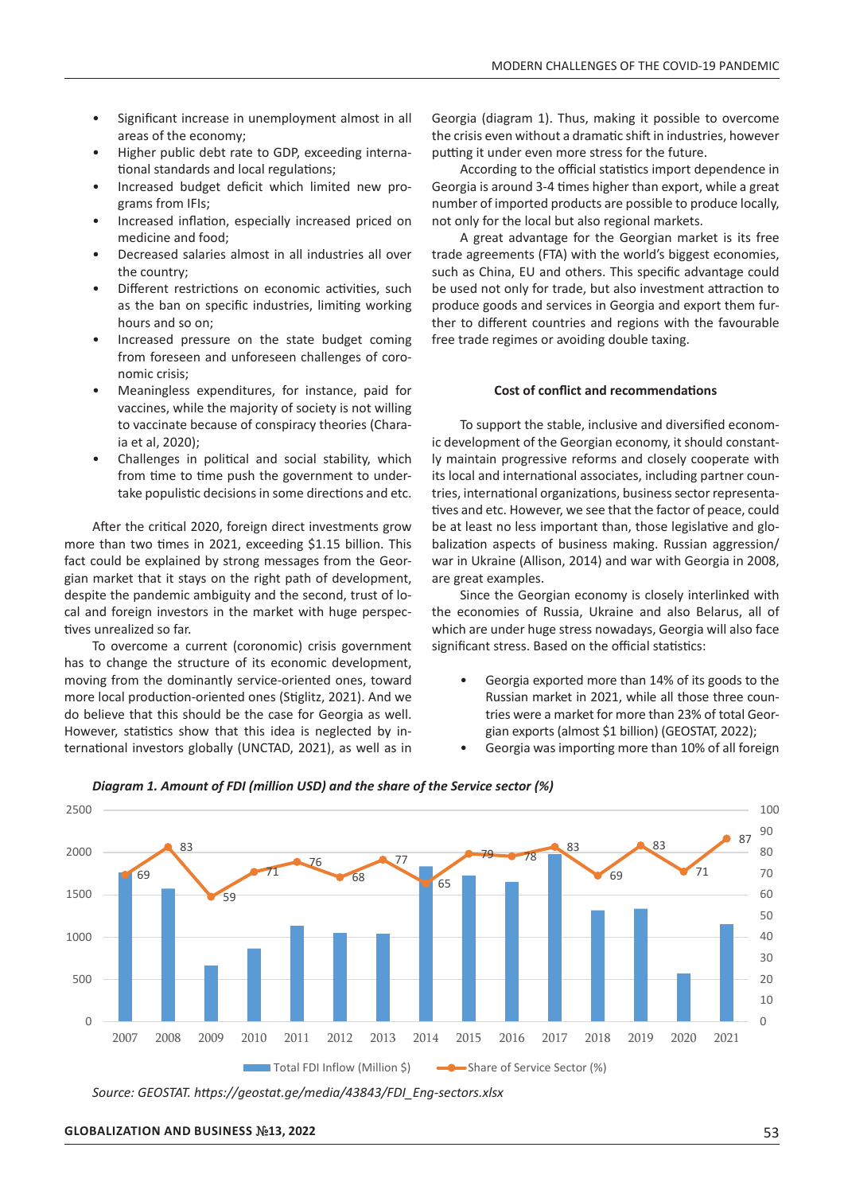- Significant increase in unemployment almost in all areas of the economy;
- Higher public debt rate to GDP, exceeding international standards and local regulations;
- Increased budget deficit which limited new programs from IFIs;
- Increased inflation, especially increased priced on medicine and food;
- Decreased salaries almost in all industries all over the country;
- Different restrictions on economic activities, such as the ban on specific industries, limiting working hours and so on;
- Increased pressure on the state budget coming from foreseen and unforeseen challenges of coronomic crisis;
- Meaningless expenditures, for instance, paid for vaccines, while the majority of society is not willing to vaccinate because of conspiracy theories (Charaia et al, 2020);
- Challenges in political and social stability, which from time to time push the government to undertake populistic decisions in some directions and etc.

After the critical 2020, foreign direct investments grow more than two times in 2021, exceeding \$1.15 billion. This fact could be explained by strong messages from the Georgian market that it stays on the right path of development, despite the pandemic ambiguity and the second, trust of local and foreign investors in the market with huge perspectives unrealized so far.

To overcome a current (coronomic) crisis government has to change the structure of its economic development, moving from the dominantly service-oriented ones, toward more local production-oriented ones (Stiglitz, 2021). And we do believe that this should be the case for Georgia as well. However, statistics show that this idea is neglected by international investors globally (UNCTAD, 2021), as well as in

Georgia (diagram 1). Thus, making it possible to overcome the crisis even without a dramatic shift in industries, however putting it under even more stress for the future.

According to the official statistics import dependence in Georgia is around 3-4 times higher than export, while a great number of imported products are possible to produce locally, not only for the local but also regional markets.

A great advantage for the Georgian market is its free trade agreements (FTA) with the world's biggest economies, such as China, EU and others. This specific advantage could be used not only for trade, but also investment attraction to produce goods and services in Georgia and export them further to different countries and regions with the favourable free trade regimes or avoiding double taxing.

#### **Cost of conflict and recommendations**

To support the stable, inclusive and diversified economic development of the Georgian economy, it should constantly maintain progressive reforms and closely cooperate with its local and international associates, including partner countries, international organizations, business sector representatives and etc. However, we see that the factor of peace, could be at least no less important than, those legislative and globalization aspects of business making. Russian aggression/ war in Ukraine (Allison, 2014) and war with Georgia in 2008, are great examples.

Since the Georgian economy is closely interlinked with the economies of Russia, Ukraine and also Belarus, all of which are under huge stress nowadays, Georgia will also face significant stress. Based on the official statistics:

- Georgia exported more than 14% of its goods to the Russian market in 2021, while all those three countries were a market for more than 23% of total Georgian exports (almost \$1 billion) (GEOSTAT, 2022);
- Georgia was importing more than 10% of all foreign



## *Diagram 1. Amount of FDI (million USD) and the share of the Service sector (%)*

*Source: GEOSTAT. https://geostat.ge/media/43843/FDI\_Eng-sectors.xlsx*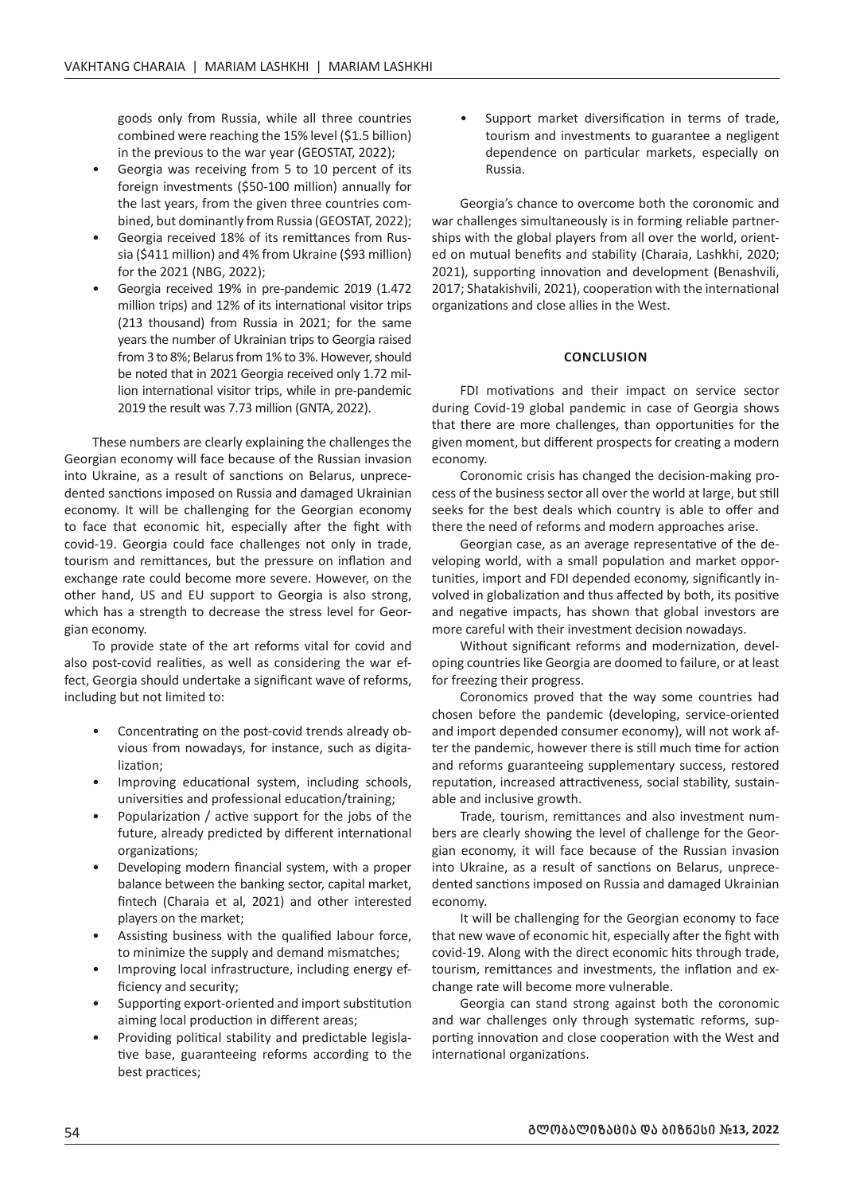goods only from Russia, while all three countries combined were reaching the 15% level (\$1.5 billion) in the previous to the war year (GEOSTAT, 2022);

- Georgia was receiving from 5 to 10 percent of its foreign investments (\$50-100 million) annually for the last years, from the given three countries combined, but dominantly from Russia (GEOSTAT, 2022);
- Georgia received 18% of its remittances from Russia (\$411 million) and 4% from Ukraine (\$93 million) for the 2021 (NBG, 2022);
- Georgia received 19% in pre-pandemic 2019 (1.472 million trips) and 12% of its international visitor trips (213 thousand) from Russia in 2021; for the same years the number of Ukrainian trips to Georgia raised from 3 to 8%; Belarus from 1% to 3%. However, should be noted that in 2021 Georgia received only 1.72 million international visitor trips, while in pre-pandemic 2019 the result was 7.73 million (GNTA, 2022).

These numbers are clearly explaining the challenges the Georgian economy will face because of the Russian invasion into Ukraine, as a result of sanctions on Belarus, unprecedented sanctions imposed on Russia and damaged Ukrainian economy. It will be challenging for the Georgian economy to face that economic hit, especially after the fight with covid-19. Georgia could face challenges not only in trade, tourism and remittances, but the pressure on inflation and exchange rate could become more severe. However, on the other hand, US and EU support to Georgia is also strong, which has a strength to decrease the stress level for Georgian economy.

To provide state of the art reforms vital for covid and also post-covid realities, as well as considering the war effect, Georgia should undertake a significant wave of reforms, including but not limited to:

- Concentrating on the post-covid trends already obvious from nowadays, for instance, such as digitalization;
- Improving educational system, including schools, universities and professional education/training;
- Popularization / active support for the jobs of the future, already predicted by different international organizations;
- Developing modern financial system, with a proper balance between the banking sector, capital market, fintech (Charaia et al, 2021) and other interested players on the market;
- Assisting business with the qualified labour force, to minimize the supply and demand mismatches;
- Improving local infrastructure, including energy efficiency and security;
- Supporting export-oriented and import substitution aiming local production in different areas;
- Providing political stability and predictable legislative base, guaranteeing reforms according to the best practices;

Support market diversification in terms of trade, tourism and investments to guarantee a negligent dependence on particular markets, especially on Russia.

Georgia's chance to overcome both the coronomic and war challenges simultaneously is in forming reliable partnerships with the global players from all over the world, oriented on mutual benefits and stability (Charaia, Lashkhi, 2020; 2021), supporting innovation and development (Benashvili, 2017; Shatakishvili, 2021), cooperation with the international organizations and close allies in the West.

#### **CONCLUSION**

FDI motivations and their impact on service sector during Covid-19 global pandemic in case of Georgia shows that there are more challenges, than opportunities for the given moment, but different prospects for creating a modern economy.

Coronomic crisis has changed the decision-making process of the business sector all over the world at large, but still seeks for the best deals which country is able to offer and there the need of reforms and modern approaches arise.

Georgian case, as an average representative of the developing world, with a small population and market opportunities, import and FDI depended economy, significantly involved in globalization and thus affected by both, its positive and negative impacts, has shown that global investors are more careful with their investment decision nowadays.

Without significant reforms and modernization, developing countries like Georgia are doomed to failure, or at least for freezing their progress.

Coronomics proved that the way some countries had chosen before the pandemic (developing, service-oriented and import depended consumer economy), will not work after the pandemic, however there is still much time for action and reforms guaranteeing supplementary success, restored reputation, increased attractiveness, social stability, sustainable and inclusive growth.

Trade, tourism, remittances and also investment numbers are clearly showing the level of challenge for the Georgian economy, it will face because of the Russian invasion into Ukraine, as a result of sanctions on Belarus, unprecedented sanctions imposed on Russia and damaged Ukrainian economy.

It will be challenging for the Georgian economy to face that new wave of economic hit, especially after the fight with covid-19. Along with the direct economic hits through trade, tourism, remittances and investments, the inflation and exchange rate will become more vulnerable.

Georgia can stand strong against both the coronomic and war challenges only through systematic reforms, supporting innovation and close cooperation with the West and international organizations.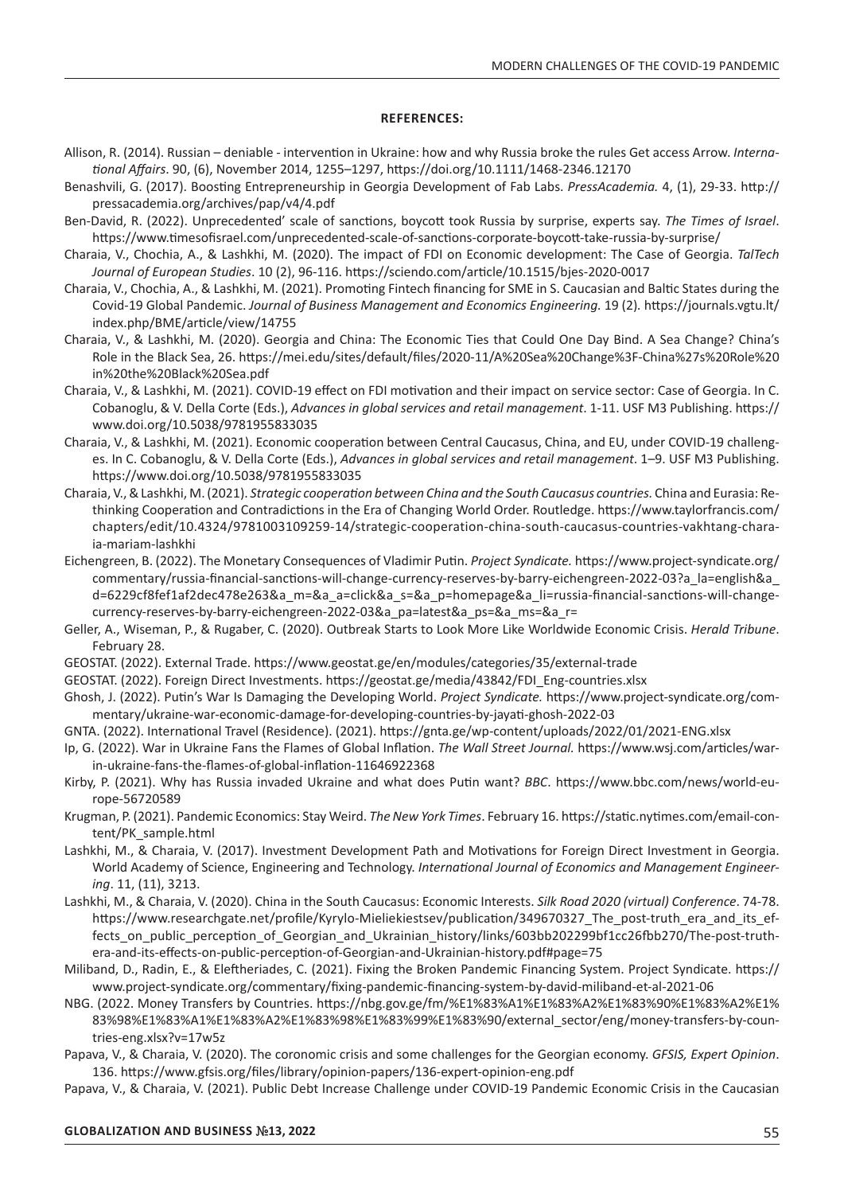#### **REFERENCES:**

- Allison, R. (2014). Russian deniable intervention in Ukraine: how and why Russia broke the rules Get access Arrow. *International Affairs*. 90, (6), November 2014, 1255–1297, https://doi.org/10.1111/1468-2346.12170
- Benashvili, G. (2017). Boosting Entrepreneurship in Georgia Development of Fab Labs. *PressAcademia.* 4, (1), 29-33. http:// pressacademia.org/archives/pap/v4/4.pdf
- Ben-David, R. (2022). Unprecedented' scale of sanctions, boycott took Russia by surprise, experts say. *The Times of Israel*. https://www.timesofisrael.com/unprecedented-scale-of-sanctions-corporate-boycott-take-russia-by-surprise/
- Charaia, V., Chochia, A., & Lashkhi, M. (2020). The impact of FDI on Economic development: The Case of Georgia. *TalTech Journal of European Studies*. 10 (2), 96-116. https://sciendo.com/article/10.1515/bjes-2020-0017
- Charaia, V., Chochia, A., & Lashkhi, M. (2021). Promoting Fintech financing for SME in S. Caucasian and Baltic States during the Covid-19 Global Pandemic. *Journal of Business Management and Economics Engineering.* 19 (2)*.* https://journals.vgtu.lt/ index.php/BME/article/view/14755
- Charaia, V., & Lashkhi, M. (2020). Georgia and China: The Economic Ties that Could One Day Bind. A Sea Change? China's Role in the Black Sea, 26. https://mei.edu/sites/default/files/2020-11/A%20Sea%20Change%3F-China%27s%20Role%20 in%20the%20Black%20Sea.pdf
- Charaia, V., & Lashkhi, M. (2021). COVID-19 effect on FDI motivation and their impact on service sector: Case of Georgia. In C. Cobanoglu, & V. Della Corte (Eds.), *Advances in global services and retail management*. 1-11. USF M3 Publishing. https:// www.doi.org/10.5038/9781955833035
- Charaia, V., & Lashkhi, M. (2021). Economic cooperation between Central Caucasus, China, and EU, under COVID-19 challenges. In C. Cobanoglu, & V. Della Corte (Eds.), *Advances in global services and retail management*. 1–9. USF M3 Publishing. https://www.doi.org/10.5038/9781955833035
- Charaia, V., & Lashkhi, M. (2021). *Strategic cooperation between China and the South Caucasus countries.* China and Eurasia: Rethinking Cooperation and Contradictions in the Era of Changing World Order. Routledge. https://www.taylorfrancis.com/ chapters/edit/10.4324/9781003109259-14/strategic-cooperation-china-south-caucasus-countries-vakhtang-charaia-mariam-lashkhi
- Eichengreen, B. (2022). The Monetary Consequences of Vladimir Putin. *Project Syndicate.* https://www.project-syndicate.org/ commentary/russia-financial-sanctions-will-change-currency-reserves-by-barry-eichengreen-2022-03?a\_la=english&a\_ d=6229cf8fef1af2dec478e263&a\_m=&a\_a=click&a\_s=&a\_p=homepage&a\_li=russia-financial-sanctions-will-changecurrency-reserves-by-barry-eichengreen-2022-03&a\_pa=latest&a\_ps=&a\_ms=&a\_r=
- Geller, A., Wiseman, P., & Rugaber, C. (2020). Outbreak Starts to Look More Like Worldwide Economic Crisis. *Herald Tribune*. February 28.

GEOSTAT. (2022). External Trade. https://www.geostat.ge/en/modules/categories/35/external-trade

GEOSTAT. (2022). Foreign Direct Investments. https://geostat.ge/media/43842/FDI\_Eng-countries.xlsx

- Ghosh, J. (2022). Putin's War Is Damaging the Developing World. *Project Syndicate.* https://www.project-syndicate.org/commentary/ukraine-war-economic-damage-for-developing-countries-by-jayati-ghosh-2022-03
- GNTA. (2022). International Travel (Residence). (2021). https://gnta.ge/wp-content/uploads/2022/01/2021-ENG.xlsx
- Ip, G. (2022). War in Ukraine Fans the Flames of Global Inflation. *The Wall Street Journal.* https://www.wsj.com/articles/warin-ukraine-fans-the-flames-of-global-inflation-11646922368
- Kirby, P. (2021). Why has Russia invaded Ukraine and what does Putin want? *BBC*. https://www.bbc.com/news/world-europe-56720589
- Krugman, P. (2021). Pandemic Economics: Stay Weird. *The New York Times*. February 16. https://static.nytimes.com/email-content/PK\_sample.html
- Lashkhi, M., & Charaia, V. (2017). Investment Development Path and Motivations for Foreign Direct Investment in Georgia. World Academy of Science, Engineering and Technology. *International Journal of Economics and Management Engineering*. 11, (11), 3213.
- Lashkhi, M., & Charaia, V. (2020). China in the South Caucasus: Economic Interests. *Silk Road 2020 (virtual) Conference*. 74-78. https://www.researchgate.net/profile/Kyrylo-Mieliekiestsev/publication/349670327 The post-truth era and its effects on public perception of Georgian and Ukrainian history/links/603bb202299bf1cc26fbb270/The-post-truthera-and-its-effects-on-public-perception-of-Georgian-and-Ukrainian-history.pdf#page=75
- Miliband, D., Radin, E., & Eleftheriades, C. (2021). Fixing the Broken Pandemic Financing System. Project Syndicate. https:// www.project-syndicate.org/commentary/fixing-pandemic-financing-system-by-david-miliband-et-al-2021-06
- NBG. (2022. Money Transfers by Countries. https://nbg.gov.ge/fm/%E1%83%A1%E1%83%A2%E1%83%90%E1%83%A2%E1% 83%98%E1%83%A1%E1%83%A2%E1%83%98%E1%83%99%E1%83%90/external\_sector/eng/money-transfers-by-countries-eng.xlsx?v=17w5z
- Papava, V., & Charaia, V. (2020). The coronomic crisis and some challenges for the Georgian economy. *GFSIS, Expert Opinion*. 136. https://www.gfsis.org/files/library/opinion-papers/136-expert-opinion-eng.pdf
- Papava, V., & Charaia, V. (2021). Public Debt Increase Challenge under COVID-19 Pandemic Economic Crisis in the Caucasian

### **GLOBALIZATION AND BUSINESS** *#***13, 2022** 55